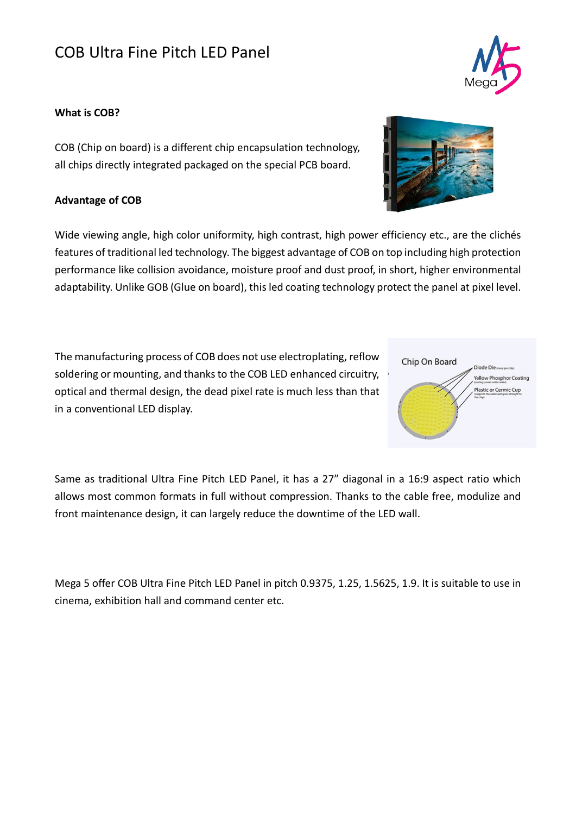## COB Ultra Fine Pitch LED Panel

## **What is COB?**

COB (Chip on board) is a different chip encapsulation technology, all chips directly integrated packaged on the special PCB board.

## **Advantage of COB**

Wide viewing angle, high color uniformity, high contrast, high power efficiency etc., are the clichés features of traditional led technology. The biggest advantage of COB on top including high protection performance like collision avoidance, moisture proof and dust proof, in short, higher environmental adaptability. Unlike GOB (Glue on board), this led coating technology protect the panel at pixel level.

The manufacturing process of COB does not use electroplating, reflow soldering or mounting, and thanks to the COB LED enhanced circuitry, optical and thermal design, the dead pixel rate is much less than that in a conventional LED display.

Same as traditional Ultra Fine Pitch LED Panel, it has a 27" diagonal in a 16:9 aspect ratio which allows most common formats in full without compression. Thanks to the cable free, modulize and front maintenance design, it can largely reduce the downtime of the LED wall.

Mega 5 offer COB Ultra Fine Pitch LED Panel in pitch 0.9375, 1.25, 1.5625, 1.9. It is suitable to use in cinema, exhibition hall and command center etc.